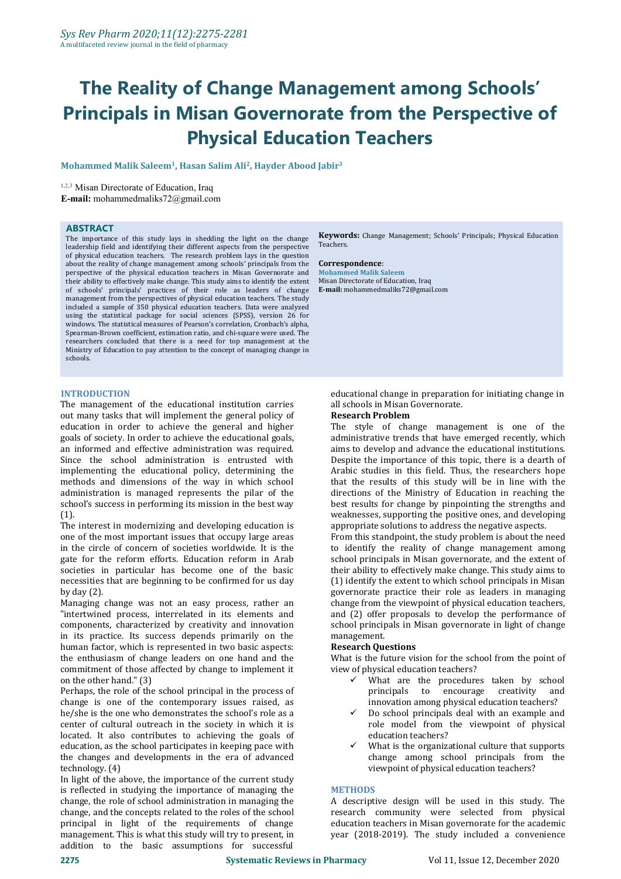# **The Reality of Change Management among Schools' Principals in Misan Governorate from the Perspective of Physical Education Teachers**

 $\bm{\Lambda}$ Mohammed Malik Saleem $^1$ , Hasan Salim Ali $^2$ , Hayder Abood Jabir $^3$ **3**

**1,2,3** Misan Directorate of Education, Iraq

**E-mail:** mohammedmaliks72@gmail.com

# **ABSTRACT**

The importance of this study lays in shedding the light on the change leadership field and identifying their different aspects from the perspective of physical education teachers. The research problem lays in the question about the reality of change management among schools' principals from the **Correspondence**: perspective of the physical education teachers in Misan Governorate and their ability to effectively make change. This study aims to identify the extent of schools' principals' practices of their role as leaders of change management from the perspectives of physical education teachers. The study included a sample of 350 physical education teachers. Data were analyzed using the statistical package for social sciences (SPSS), version 26 for windows. The statistical measures of Pearson's correlation, Cronbach's alpha, Spearman-Brown coefficient, estimation ratio, and chi-square were used. The researchers concluded that there is a need for top management at the Ministry of Education to pay attention to the concept of managing change in schools.

### **INTRODUCTION**

The management of the educational institution carries all schools in Misan out many tasks that will implement the general policy of **Research Problem** out many tasks that will implement the general policy of education in order to achieve the general and higher goals of society. In order to achieve the educational goals, an informed and effective administration was required. Since the school administration is entrusted with implementing the educational policy, determining the methods and dimensions of the way in which school administration is managed represents the pilar of the school's success in performing its mission in the best way (1).

The interest in modernizing and developing education is one of the most important issues that occupy large areas in the circle of concern of societies worldwide. It is the gate for the reform efforts. Education reform in Arab societies in particular has become one of the basic necessities that are beginning to be confirmed for us day by day (2).

Managing change was not an easy process, rather an "intertwined process, interrelated in its elements and components, characterized by creativity and innovation school princip<br>in its practice. Its success depends primarily on the management. in its practice. Its success depends primarily on the human factor, which is represented in two basic aspects: the enthusiasm of change leaders on one hand and the commitment of those affected by change to implement it on the other hand." (3)

Perhaps, the role of the school principal in the process of change is one of the contemporary issues raised, as he/she is the one who demonstrates the school's role as a center of cultural outreach in the society in which it is located. It also contributes to achieving the goals of education, as the school participates in keeping pace with the changes and developments in the era of advanced technology. (4)

In light of the above, the importance of the current study is reflected in studying the importance of managing the change, the role of school administration in managing the change, and the concepts related to the roles of the school principal in light of the requirements of change management. This is what this study will try to present, in addition to the basic assumptions for successful

**Keywords:** Change Management; Schools' Principals; Physical Education Teachers.

**Correspondence**: **Mohammed Malik Saleem** Misan Directorate of Education, Iraq **E-mail:** mohammedmaliks72@gmail.com

educational change in preparation for initiating change in all schools in Misan Governorate.

The style of change management is one of the administrative trends that have emerged recently, which aims to develop and advance the educational institutions. Despite the importance of this topic, there is a dearth of Arabic studies in this field. Thus, the researchers hope that the results of this study will be in line with the directions of the Ministry of Education in reaching the best results for change by pinpointing the strengths and weaknesses, supporting the positive ones, and developing appropriate solutions to address the negative aspects.

From this standpoint, the study problem is about the need to identify the reality of change management among school principals in Misan governorate, and the extent of their ability to effectively make change. This study aims to (1) identify the extent to which school principals in Misan governorate practice their role as leaders in managing change from the viewpoint of physical education teachers, and (2) offer proposals to develop the performance of school principals in Misan governorate in light of change

### **Research Questions**

What is the future vision for the school from the point of view of physical education teachers?

- What are the procedures taken by school principals to encourage creativity and innovation among physical education teachers?
- Do school principals deal with an example and role model from the viewpoint of physical education teachers?
- What is the organizational culture that supports change among school principals from the viewpoint of physical education teachers?

### **METHODS**

A descriptive design will be used in this study. The research community were selected from physical education teachers in Misan governorate for the academic year (2018-2019). The study included a convenience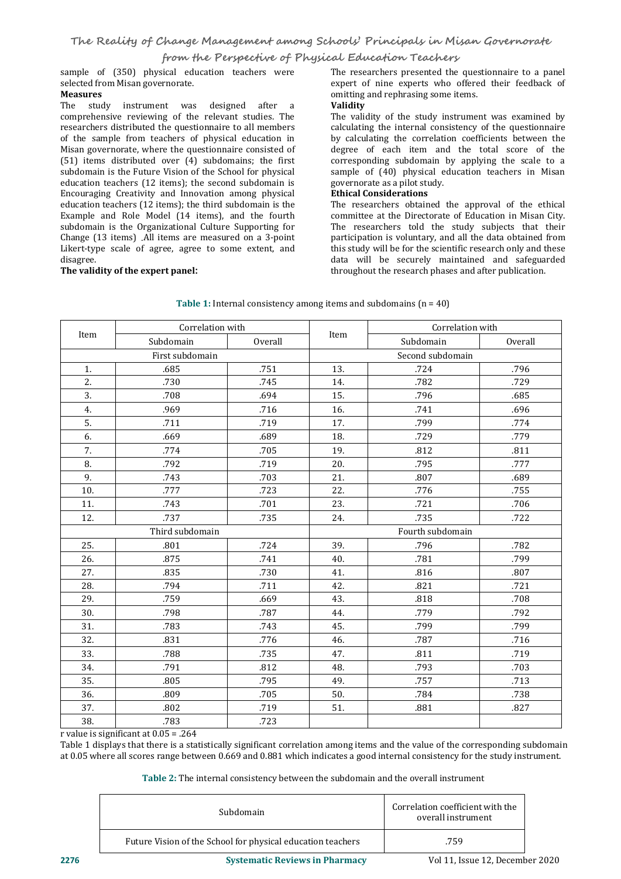# **from the Perspective of Physical Education Teachers**

sample of (350) physical education teachers were selected from Misan governorate. **Measures**

The study instrument was designed after a **Validity** comprehensive reviewing of the relevant studies. The researchers distributed the questionnaire to all members of the sample from teachers of physical education in Misan governorate, where the questionnaire consisted of (51) items distributed over (4) subdomains; the first subdomain is the Future Vision of the School for physical sample of (40) physical education teachers (12 items); the second subdomain is governorate as a pilot study. education teachers (12 items); the second subdomain is Encouraging Creativity and Innovation among physical education teachers (12 items); the third subdomain is the Example and Role Model (14 items), and the fourth subdomain is the Organizational Culture Supporting for Change (13 items) .All items are measured on a 3-point Likert-type scale of agree, agree to some extent, and

# $The$  **validity** of the expert panel:

The researchers presented the questionnaire to a panel expert of nine experts who offered their feedback of omitting and rephrasing some items.

The validity of the study instrument was examined by calculating the internal consistency of the questionnaire by calculating the correlation coefficients between the degree of each item and the total score of the corresponding subdomain by applying the scale to a sample of (40) physical education teachers in Misan

# **Ethical Considerations**

The researchers obtained the approval of the ethical committee at the Directorate of Education in Misan City. The researchers told the study subjects that their participation is voluntary, and all the data obtained from this study will be for the scientific research only and these data will be securely maintained and safeguarded throughout the research phases and after publication.

|      | Correlation with |         |                  | Correlation with |         |  |  |  |  |
|------|------------------|---------|------------------|------------------|---------|--|--|--|--|
| Item | Subdomain        | Overall | Item             | Subdomain        | Overall |  |  |  |  |
|      | First subdomain  |         |                  | Second subdomain |         |  |  |  |  |
| 1.   | .685             | .751    | 13.              | .724             | .796    |  |  |  |  |
| 2.   | .730             | .745    | 14.              | .782             | .729    |  |  |  |  |
| 3.   | .708             | .694    | 15.              | .796             | .685    |  |  |  |  |
| 4.   | .969             | .716    | 16.              | .741             | .696    |  |  |  |  |
| 5.   | .711             | .719    | 17.              | .799             | .774    |  |  |  |  |
| 6.   | .669             | .689    | 18.              | .729             | .779    |  |  |  |  |
| 7.   | .774             | .705    | 19.              | .812             | .811    |  |  |  |  |
| 8.   | .792             | .719    | 20.              | .795             | .777    |  |  |  |  |
| 9.   | .743             | .703    | 21.              | .807             | .689    |  |  |  |  |
| 10.  | .777             | .723    | 22.              | .776             | .755    |  |  |  |  |
| 11.  | .743             | .701    | 23.              | .721             | .706    |  |  |  |  |
| 12.  | .737             | .735    | 24.              | .735             | .722    |  |  |  |  |
|      | Third subdomain  |         | Fourth subdomain |                  |         |  |  |  |  |
| 25.  | .801             | .724    | 39.              | .796             | .782    |  |  |  |  |
| 26.  | .875             | .741    | 40.              | .781             | .799    |  |  |  |  |
| 27.  | .835             | .730    | 41.              | .816             | .807    |  |  |  |  |
| 28.  | .794             | .711    | 42.              | .821             | .721    |  |  |  |  |
| 29.  | .759             | .669    | 43.              | .818             | .708    |  |  |  |  |
| 30.  | .798             | .787    | 44.              | .779             | .792    |  |  |  |  |
| 31.  | .783             | .743    | 45.              | .799             | .799    |  |  |  |  |
| 32.  | .831             | .776    | 46.              | .787             | .716    |  |  |  |  |
| 33.  | .788             | .735    | 47.              | .811             | .719    |  |  |  |  |
| 34.  | .791             | .812    | 48.              | .793             | .703    |  |  |  |  |
| 35.  | .805             | .795    | 49.              | .757             | .713    |  |  |  |  |
| 36.  | .809             | .705    | 50.              | .784             | .738    |  |  |  |  |
| 37.  | .802             | .719    | 51.              | .881             | .827    |  |  |  |  |
| 38.  | .783             | .723    |                  |                  |         |  |  |  |  |

**Table 1:** Internal consistency among items and subdomains (n = 40)

r value is significant at 0.05 = .264

Table 1 displays that there is a statistically significant correlation among items and the value of the corresponding subdomain at 0.05 where all scores range between 0.669 and 0.881 which indicates a good internal consistency for the study instrument.

**Table 2:** The internal consistency between the subdomain and the overall instrument

| Subdomain                                                   | Correlation coefficient with the<br>overall instrument |
|-------------------------------------------------------------|--------------------------------------------------------|
| Future Vision of the School for physical education teachers | .759                                                   |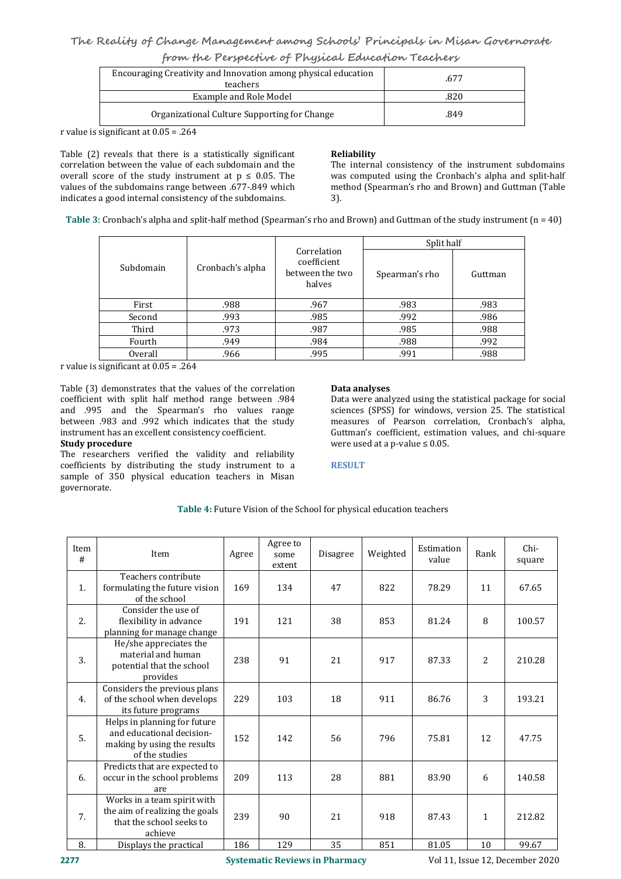# **The Reality of Change Management among Schools' Principals in Misan Governorate**

|  | from the Perspective of Physical Education Teachers |  |
|--|-----------------------------------------------------|--|
|--|-----------------------------------------------------|--|

| Encouraging Creativity and Innovation among physical education<br>teachers | .677 |
|----------------------------------------------------------------------------|------|
| Example and Role Model                                                     | .820 |
| Organizational Culture Supporting for Change                               | .849 |

r value is significant at 0.05 = .264

Table (2) reveals that there is a statistically significant **Reliability** correlation between the value of each subdomain and the overall score of the study instrument at  $p \le 0.05$ . The values of the subdomains range between .677-.849 which indicates a good internal consistency of the subdomains. Table (2) reveals that there is a statistically significant<br>correlation between the value of each subdomain and the<br>overall score of the study instrument at  $p \le 0.05$ . The was computed using the Cronbac<br>values of the sub

The internal consistency of the instrument subdomains was computed using the Cronbach's alpha and split-half method (Spearman's rho and Brown) and Guttman (Table 3).

**Table 3**: Cronbach's alpha and split-half method (Spearman's rho and Brown) and Guttman of the study instrument (n = 40)

|                         |                  |                                                         | Split half     |         |  |  |  |
|-------------------------|------------------|---------------------------------------------------------|----------------|---------|--|--|--|
| Subdomain               | Cronbach's alpha | Correlation<br>coefficient<br>between the two<br>halves | Spearman's rho | Guttman |  |  |  |
| First                   | .988             | .967                                                    | .983           | .983    |  |  |  |
| Second                  | .993             | .985                                                    | .992           | .986    |  |  |  |
| Third                   | .973             | .987                                                    | .985           | .988    |  |  |  |
| Fourth                  | .949<br>.984     |                                                         | .988           | .992    |  |  |  |
| .995<br>Overall<br>.966 |                  | .991                                                    | .988           |         |  |  |  |

r value is significant at 0.05 = .264

Table (3) demonstrates that the values of the correlation<br>
coefficient with split half method range between .984 Data were analyzed using the statistical package for social coefficient with split half method range between .984 and .995 and the Spearman's rho values range between .983 and .992 which indicates that the study instrument has an excellent consistency coefficient. **Study procedure**

The researchers verified the validity and reliability coefficients by distributing the study instrument to a sample of 350 physical education teachers in Misan governorate.

# **Data analyses**

sciences (SPSS) for windows, version 25. The statistical measures of Pearson correlation, Cronbach's alpha, Guttman's coefficient, estimation values, and chi-square were used at a p-value  $\leq 0.05$ .

# **RESULT**

| Item<br># | Item                                                                                                       | Agree | Agree to<br>some<br>extent | Disagree | Weighted | Estimation<br>value | Rank         | Chi-<br>square |
|-----------|------------------------------------------------------------------------------------------------------------|-------|----------------------------|----------|----------|---------------------|--------------|----------------|
| 1.        | Teachers contribute<br>formulating the future vision<br>of the school                                      | 169   | 134                        | 47       | 822      | 78.29               | 11           | 67.65          |
| 2.        | Consider the use of<br>flexibility in advance<br>planning for manage change                                | 191   | 121                        | 38       | 853      | 81.24               | 8            | 100.57         |
| 3.        | He/she appreciates the<br>material and human<br>potential that the school<br>provides                      | 238   | 91                         | 21       | 917      | 87.33               | 2            | 210.28         |
| 4.        | Considers the previous plans<br>of the school when develops<br>its future programs                         | 229   | 103                        | 18       | 911      | 86.76               | 3            | 193.21         |
| 5.        | Helps in planning for future<br>and educational decision-<br>making by using the results<br>of the studies | 152   | 142                        | 56       | 796      | 75.81               | 12           | 47.75          |
| 6.        | Predicts that are expected to<br>occur in the school problems<br>are                                       | 209   | 113                        | 28       | 881      | 83.90               | 6            | 140.58         |
| 7.        | Works in a team spirit with<br>the aim of realizing the goals<br>that the school seeks to<br>achieve       | 239   | 90                         | 21       | 918      | 87.43               | $\mathbf{1}$ | 212.82         |
| 8.        | Displays the practical                                                                                     | 186   | 129                        | 35       | 851      | 81.05               | 10           | 99.67          |

**Table 4:** Future Vision of the School for physical education teachers

**2277 Systematic Reviews in Pharmacy** Vol 11, Issue 12, December 2020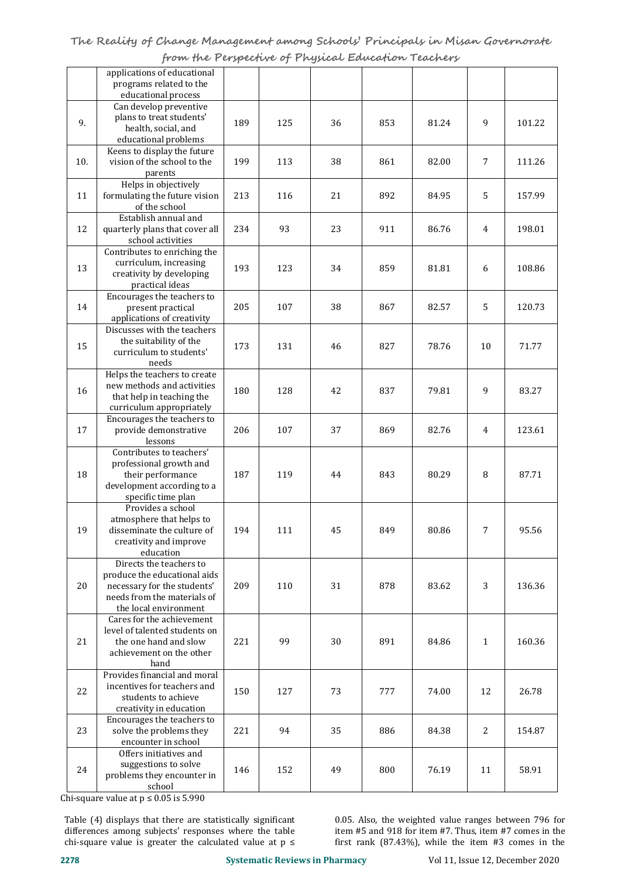|     | applications of educational<br>programs related to the<br>educational process                                                                  |     |     |    |     |       |                |        |
|-----|------------------------------------------------------------------------------------------------------------------------------------------------|-----|-----|----|-----|-------|----------------|--------|
| 9.  | Can develop preventive<br>plans to treat students'<br>health, social, and<br>educational problems                                              | 189 | 125 | 36 | 853 | 81.24 | 9              | 101.22 |
| 10. | Keens to display the future<br>vision of the school to the<br>parents                                                                          | 199 | 113 | 38 | 861 | 82.00 | 7              | 111.26 |
| 11  | Helps in objectively<br>formulating the future vision<br>of the school                                                                         | 213 | 116 | 21 | 892 | 84.95 | 5              | 157.99 |
| 12  | Establish annual and<br>quarterly plans that cover all<br>school activities                                                                    | 234 | 93  | 23 | 911 | 86.76 | 4              | 198.01 |
| 13  | Contributes to enriching the<br>curriculum, increasing<br>creativity by developing<br>practical ideas                                          | 193 | 123 | 34 | 859 | 81.81 | 6              | 108.86 |
| 14  | Encourages the teachers to<br>present practical<br>applications of creativity                                                                  | 205 | 107 | 38 | 867 | 82.57 | 5              | 120.73 |
| 15  | Discusses with the teachers<br>the suitability of the<br>curriculum to students'<br>needs                                                      | 173 | 131 | 46 | 827 | 78.76 | 10             | 71.77  |
| 16  | Helps the teachers to create<br>new methods and activities<br>that help in teaching the<br>curriculum appropriately                            | 180 | 128 | 42 | 837 | 79.81 | 9              | 83.27  |
| 17  | Encourages the teachers to<br>provide demonstrative<br>lessons                                                                                 | 206 | 107 | 37 | 869 | 82.76 | $\overline{4}$ | 123.61 |
| 18  | Contributes to teachers'<br>professional growth and<br>their performance<br>development according to a<br>specific time plan                   | 187 | 119 | 44 | 843 | 80.29 | 8              | 87.71  |
| 19  | Provides a school<br>atmosphere that helps to<br>disseminate the culture of<br>creativity and improve<br>education                             | 194 | 111 | 45 | 849 | 80.86 | 7              | 95.56  |
| 20  | Directs the teachers to<br>produce the educational aids<br>necessary for the students'<br>needs from the materials of<br>the local environment | 209 | 110 | 31 | 878 | 83.62 | 3              | 136.36 |
| 21  | Cares for the achievement<br>level of talented students on<br>the one hand and slow<br>achievement on the other<br>hand                        | 221 | 99  | 30 | 891 | 84.86 | $\mathbf{1}$   | 160.36 |
| 22  | Provides financial and moral<br>incentives for teachers and<br>students to achieve<br>creativity in education                                  | 150 | 127 | 73 | 777 | 74.00 | 12             | 26.78  |
| 23  | Encourages the teachers to<br>solve the problems they<br>encounter in school                                                                   | 221 | 94  | 35 | 886 | 84.38 | 2              | 154.87 |
| 24  | Offers initiatives and<br>suggestions to solve<br>problems they encounter in<br>school                                                         | 146 | 152 | 49 | 800 | 76.19 | 11             | 58.91  |

Chi-square value at p ≤ 0.05 is 5.990

Table (4) displays that there are statistically significant differences among subjects' responses where the table chi-square value is greater the calculated value at  $p \le$ 

0.05. Also, the weighted value ranges between 796 for item #5 and 918 for item #7. Thus, item #7 comes in the first rank (87.43%), while the item #3 comes in the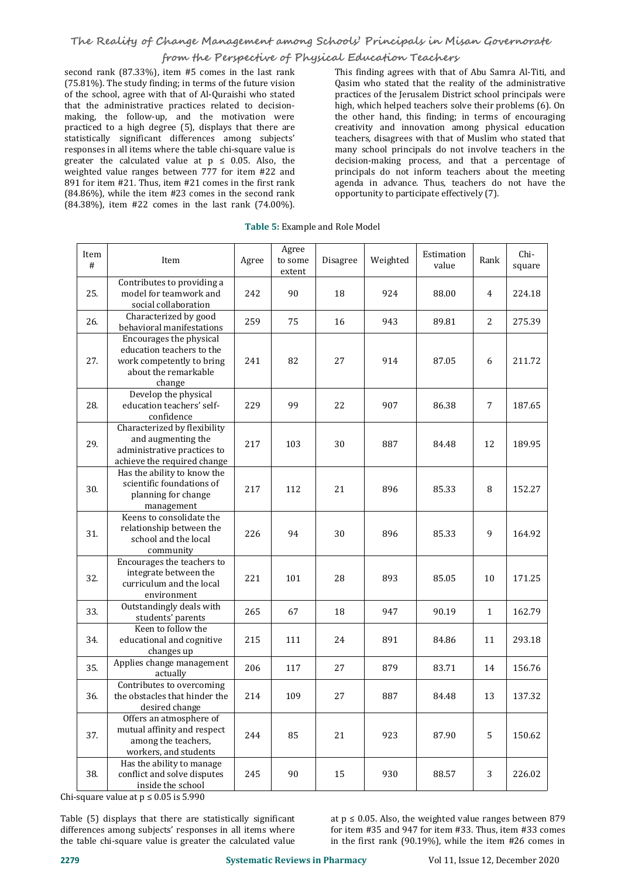# **from the Perspective of Physical Education Teachers**

second rank (87.33%), item #5 comes in the last rank (75.81%). The study finding; in terms of the future vision of the school, agree with that of Al-Quraishi who stated that the administrative practices related to decision making, the follow-up, and the motivation were practiced to a high degree (5), displays that there are statistically significant differences among subjects' responses in all items where the table chi-square value is greater the calculated value at  $p \le 0.05$ . Also, the weighted value ranges between 777 for item #22 and 891 for item #21. Thus, item #21 comes in the first rank (84.86%), while the item #23 comes in the second rank (84.38%), item #22 comes in the last rank (74.00%).

This finding agrees with that of Abu Samra Al-Titi, and Qasim who stated that the reality of the administrative practices of the Jerusalem District school principals were high, which helped teachers solve their problems (6). On the other hand, this finding; in terms of encouraging creativity and innovation among physical education teachers, disagrees with that of Muslim who stated that many school principals do not involve teachers in the decision-making process, and that a percentage of principals do not inform teachers about the meeting agenda in advance. Thus, teachers do not have the opportunity to participate effectively (7).

| Table 5: Example and Role Model |  |
|---------------------------------|--|
|                                 |  |

| Item<br># | Item                                                                                                                | Agree | Agree<br>to some<br>extent | Disagree | Weighted | Estimation<br>value | Rank           | Chi-<br>square |
|-----------|---------------------------------------------------------------------------------------------------------------------|-------|----------------------------|----------|----------|---------------------|----------------|----------------|
| 25.       | Contributes to providing a<br>model for teamwork and<br>social collaboration                                        | 242   | 90                         | 18       | 924      | 88.00               | $\overline{4}$ | 224.18         |
| 26.       | Characterized by good<br>behavioral manifestations                                                                  | 259   | 75                         | 16       | 943      | 89.81               | 2              | 275.39         |
| 27.       | Encourages the physical<br>education teachers to the<br>work competently to bring<br>about the remarkable<br>change | 241   | 82                         | 27       | 914      | 87.05               | 6              | 211.72         |
| 28.       | Develop the physical<br>education teachers' self-<br>confidence                                                     | 229   | 99                         | 22       | 907      | 86.38               | $\overline{7}$ | 187.65         |
| 29.       | Characterized by flexibility<br>and augmenting the<br>administrative practices to<br>achieve the required change    | 217   | 103                        | 30       | 887      | 84.48               | 12             | 189.95         |
| 30.       | Has the ability to know the<br>scientific foundations of<br>planning for change<br>management                       | 217   | 112                        | 21       | 896      | 85.33               | 8              | 152.27         |
| 31.       | Keens to consolidate the<br>relationship between the<br>school and the local<br>community                           | 226   | 94                         | 30       | 896      | 85.33               | 9              | 164.92         |
| 32.       | Encourages the teachers to<br>integrate between the<br>curriculum and the local<br>environment                      | 221   | 101                        | 28       | 893      | 85.05               | 10             | 171.25         |
| 33.       | Outstandingly deals with<br>students' parents                                                                       | 265   | 67                         | 18       | 947      | 90.19               | $\mathbf{1}$   | 162.79         |
| 34.       | Keen to follow the<br>educational and cognitive<br>changes up                                                       | 215   | 111                        | 24       | 891      | 84.86               | 11             | 293.18         |
| 35.       | Applies change management<br>actually                                                                               | 206   | 117                        | 27       | 879      | 83.71               | 14             | 156.76         |
| 36.       | Contributes to overcoming<br>the obstacles that hinder the<br>desired change                                        | 214   | 109                        | 27       | 887      | 84.48               | 13             | 137.32         |
| 37.       | Offers an atmosphere of<br>mutual affinity and respect<br>among the teachers,<br>workers, and students              | 244   | 85                         | 21       | 923      | 87.90               | 5              | 150.62         |
| 38.       | Has the ability to manage<br>conflict and solve disputes<br>inside the school                                       | 245   | 90                         | 15       | 930      | 88.57               | 3              | 226.02         |

Chi-square value at  $p \le 0.05$  is 5.990

differences among subjects' responses in all items where<br>the table chi-square value is greater the calculated value Table (5) displays that there are statistically significant at p ≤ 0.05. Also, the weighted value ranges between 879<br>differences among subjects' responses in all items where for item #35 and 947 for item #33. Thus, item #

Table (5) displays that there are statistically significant at  $p \le 0.05$ . Also, the weighted value ranges between 879 for item #35 and 947 for item #33. Thus, item #33 comes in the first rank (90.19%), while the item #26 comes in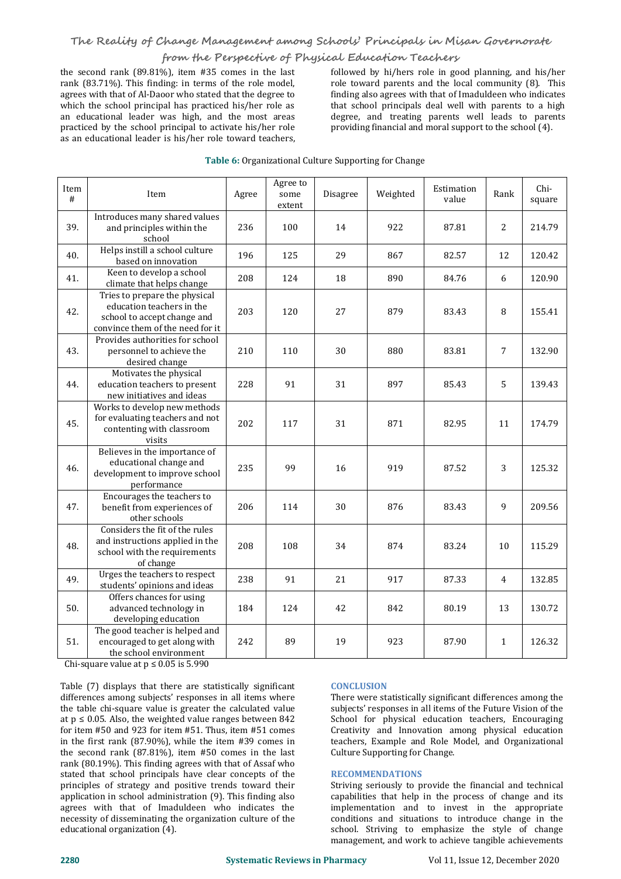# **The Reality of Change Management among Schools' Principals in Misan Governorate**

# **from the Perspective of Physical Education Teachers**

the second rank (89.81%), item #35 comes in the last rank (83.71%). This finding: in terms of the role model, agrees with that of Al-Daoor who stated that the degree to which the school principal has practiced his/her role as an educational leader was high, and the most areas practiced by the school principal to activate his/her role as an educational leader is his/her role toward teachers, followed by hi/hers role in good planning, and his/her role toward parents and the local community (8). This finding also agrees with that of Imaduldeen who indicates that school principals deal well with parents to a high degree, and treating parents well leads to parents providing financial and moral support to the school (4).

| Item<br># | Item                                                                                                                          | Agree | Agree to<br>some<br>extent | Disagree | Weighted | Estimation<br>value | Rank           | Chi-<br>square |
|-----------|-------------------------------------------------------------------------------------------------------------------------------|-------|----------------------------|----------|----------|---------------------|----------------|----------------|
| 39.       | Introduces many shared values<br>and principles within the<br>school                                                          | 236   | 100                        | 14       | 922      | 87.81               | $\overline{2}$ | 214.79         |
| 40.       | Helps instill a school culture<br>based on innovation                                                                         | 196   | 125                        | 29       | 867      | 82.57               | 12             | 120.42         |
| 41.       | Keen to develop a school<br>climate that helps change                                                                         | 208   | 124                        | 18       | 890      | 84.76               | 6              | 120.90         |
| 42.       | Tries to prepare the physical<br>education teachers in the<br>school to accept change and<br>convince them of the need for it | 203   | 120                        | 27       | 879      | 83.43               | 8              | 155.41         |
| 43.       | Provides authorities for school<br>personnel to achieve the<br>desired change                                                 | 210   | 110                        | 30       | 880      | 83.81               | $\overline{7}$ | 132.90         |
| 44.       | Motivates the physical<br>education teachers to present<br>new initiatives and ideas                                          | 228   | 91                         | 31       | 897      | 85.43               | 5              | 139.43         |
| 45.       | Works to develop new methods<br>for evaluating teachers and not<br>contenting with classroom<br>visits                        | 202   | 117                        | 31       | 871      | 82.95               | 11             | 174.79         |
| 46.       | Believes in the importance of<br>educational change and<br>development to improve school<br>performance                       | 235   | 99                         | 16       | 919      | 87.52               | 3              | 125.32         |
| 47.       | Encourages the teachers to<br>benefit from experiences of<br>other schools                                                    | 206   | 114                        | 30       | 876      | 83.43               | 9              | 209.56         |
| 48.       | Considers the fit of the rules<br>and instructions applied in the<br>school with the requirements<br>of change                | 208   | 108                        | 34       | 874      | 83.24               | 10             | 115.29         |
| 49.       | Urges the teachers to respect<br>students' opinions and ideas                                                                 | 238   | 91                         | 21       | 917      | 87.33               | $\overline{4}$ | 132.85         |
| 50.       | Offers chances for using<br>advanced technology in<br>developing education                                                    | 184   | 124                        | 42       | 842      | 80.19               | 13             | 130.72         |
| 51.       | The good teacher is helped and<br>encouraged to get along with<br>the school environment                                      | 242   | 89                         | 19       | 923      | 87.90               | $\mathbf{1}$   | 126.32         |

# **Table 6: Organizational Culture Supporting for Change**

Chi-square value at  $p \le 0.05$  is 5.990

Table (7) displays that there are statistically significant differences among subjects' responses in all items where the table chi-square value is greater the calculated value at  $p \le 0.05$ . Also, the weighted value ranges between 842 for item #50 and 923 for item #51. Thus, item #51 comes in the first rank (87.90%), while the item #39 comes in the second rank (87.81%), item #50 comes in the last rank (80.19%). This finding agrees with that of Assaf who stated that school principals have clear concepts of the principles of strategy and positive trends toward their application in school administration (9). This finding also agrees with that of Imaduldeen who indicates the necessity of disseminating the organization culture of the educational organization (4).

# **CONCLUSION**

There were statistically significant differences among the subjects' responses in all items of the Future Vision of the School for physical education teachers, Encouraging Creativity and Innovation among physical education teachers, Example and Role Model, and Organizational Culture Supporting for Change.

# **RECOMMENDATIONS**

Striving seriously to provide the financial and technical capabilities that help in the process of change and its implementation and to invest in the appropriate conditions and situations to introduce change in the school. Striving to emphasize the style of change management, and work to achieve tangible achievements